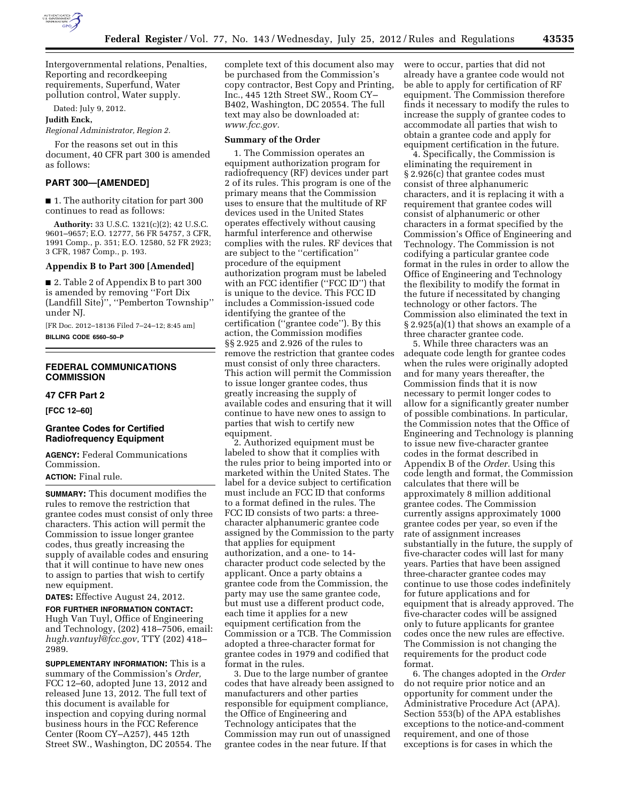

Intergovernmental relations, Penalties, Reporting and recordkeeping requirements, Superfund, Water pollution control, Water supply.

Dated: July 9, 2012.

## **Judith Enck,**

*Regional Administrator, Region 2.* 

For the reasons set out in this document, 40 CFR part 300 is amended as follows:

## **PART 300—[AMENDED]**

■ 1. The authority citation for part 300 continues to read as follows:

**Authority:** 33 U.S.C. 1321(c)(2); 42 U.S.C. 9601–9657; E.O. 12777, 56 FR 54757, 3 CFR, 1991 Comp., p. 351; E.O. 12580, 52 FR 2923; 3 CFR, 1987 Comp., p. 193.

## **Appendix B to Part 300 [Amended]**

■ 2. Table 2 of Appendix B to part 300 is amended by removing ''Fort Dix (Landfill Site)'', ''Pemberton Township'' under NJ.

[FR Doc. 2012–18136 Filed 7–24–12; 8:45 am] **BILLING CODE 6560–50–P** 

# **FEDERAL COMMUNICATIONS COMMISSION**

## **47 CFR Part 2**

**[FCC 12–60]** 

## **Grantee Codes for Certified Radiofrequency Equipment**

**AGENCY:** Federal Communications Commission. **ACTION:** Final rule.

**SUMMARY:** This document modifies the rules to remove the restriction that grantee codes must consist of only three characters. This action will permit the Commission to issue longer grantee codes, thus greatly increasing the supply of available codes and ensuring that it will continue to have new ones to assign to parties that wish to certify new equipment.

**DATES:** Effective August 24, 2012.

**FOR FURTHER INFORMATION CONTACT:**  Hugh Van Tuyl, Office of Engineering and Technology, (202) 418–7506, email: *hugh.vantuyl@fcc.gov*, TTY (202) 418– 2989.

**SUPPLEMENTARY INFORMATION:** This is a summary of the Commission's *Order,*  FCC 12–60, adopted June 13, 2012 and released June 13, 2012. The full text of this document is available for inspection and copying during normal business hours in the FCC Reference Center (Room CY–A257), 445 12th Street SW., Washington, DC 20554. The complete text of this document also may be purchased from the Commission's copy contractor, Best Copy and Printing, Inc., 445 12th Street SW., Room CY– B402, Washington, DC 20554. The full text may also be downloaded at: *www.fcc.gov.* 

## **Summary of the Order**

1. The Commission operates an equipment authorization program for radiofrequency (RF) devices under part 2 of its rules. This program is one of the primary means that the Commission uses to ensure that the multitude of RF devices used in the United States operates effectively without causing harmful interference and otherwise complies with the rules. RF devices that are subject to the ''certification'' procedure of the equipment authorization program must be labeled with an FCC identifier (''FCC ID'') that is unique to the device. This FCC ID includes a Commission-issued code identifying the grantee of the certification (''grantee code''). By this action, the Commission modifies §§ 2.925 and 2.926 of the rules to remove the restriction that grantee codes must consist of only three characters. This action will permit the Commission to issue longer grantee codes, thus greatly increasing the supply of available codes and ensuring that it will continue to have new ones to assign to parties that wish to certify new equipment.

2. Authorized equipment must be labeled to show that it complies with the rules prior to being imported into or marketed within the United States. The label for a device subject to certification must include an FCC ID that conforms to a format defined in the rules. The FCC ID consists of two parts: a threecharacter alphanumeric grantee code assigned by the Commission to the party that applies for equipment authorization, and a one- to 14 character product code selected by the applicant. Once a party obtains a grantee code from the Commission, the party may use the same grantee code, but must use a different product code, each time it applies for a new equipment certification from the Commission or a TCB. The Commission adopted a three-character format for grantee codes in 1979 and codified that format in the rules.

3. Due to the large number of grantee codes that have already been assigned to manufacturers and other parties responsible for equipment compliance, the Office of Engineering and Technology anticipates that the Commission may run out of unassigned grantee codes in the near future. If that

were to occur, parties that did not already have a grantee code would not be able to apply for certification of RF equipment. The Commission therefore finds it necessary to modify the rules to increase the supply of grantee codes to accommodate all parties that wish to obtain a grantee code and apply for equipment certification in the future.

4. Specifically, the Commission is eliminating the requirement in § 2.926(c) that grantee codes must consist of three alphanumeric characters, and it is replacing it with a requirement that grantee codes will consist of alphanumeric or other characters in a format specified by the Commission's Office of Engineering and Technology. The Commission is not codifying a particular grantee code format in the rules in order to allow the Office of Engineering and Technology the flexibility to modify the format in the future if necessitated by changing technology or other factors. The Commission also eliminated the text in § 2.925(a)(1) that shows an example of a three character grantee code.

5. While three characters was an adequate code length for grantee codes when the rules were originally adopted and for many years thereafter, the Commission finds that it is now necessary to permit longer codes to allow for a significantly greater number of possible combinations. In particular, the Commission notes that the Office of Engineering and Technology is planning to issue new five-character grantee codes in the format described in Appendix B of the *Order.* Using this code length and format, the Commission calculates that there will be approximately 8 million additional grantee codes. The Commission currently assigns approximately 1000 grantee codes per year, so even if the rate of assignment increases substantially in the future, the supply of five-character codes will last for many years. Parties that have been assigned three-character grantee codes may continue to use those codes indefinitely for future applications and for equipment that is already approved. The five-character codes will be assigned only to future applicants for grantee codes once the new rules are effective. The Commission is not changing the requirements for the product code format.

6. The changes adopted in the *Order*  do not require prior notice and an opportunity for comment under the Administrative Procedure Act (APA). Section 553(b) of the APA establishes exceptions to the notice-and-comment requirement, and one of those exceptions is for cases in which the